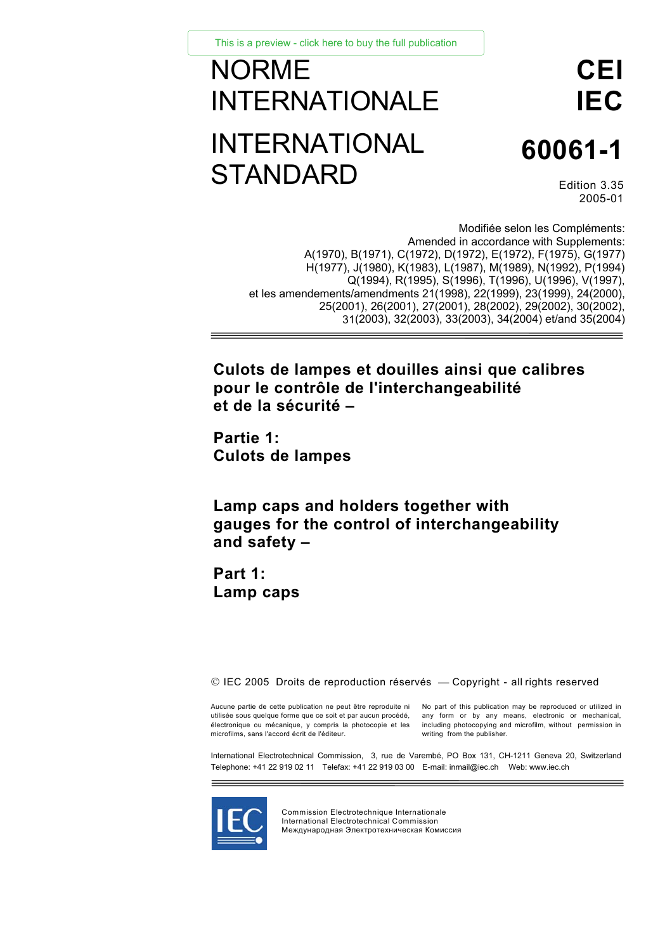# NORME INTERNATIONALE INTERNATIONAL **STANDARD**

# **CEI IEC**

## **60061-1**

Edition 3.35 2005-01

Modifiée selon les Compléments: Amended in accordance with Supplements: A(1970), B(1971), C(1972), D(1972), E(1972), F(1975), G(1977) H(1977), J(1980), K(1983), L(1987), M(1989), N(1992), P(1994) Q(1994), R(1995), S(1996), T(1996), U(1996), V(1997), et les amendements/amendments 21(1998), 22(1999), 23(1999), 24(2000), 25(2001), 26(2001), 27(2001), 28(2002), 29(2002), 30(2002), 31(2003), 32(2003), 33(2003), 34(2004) et/and 35(2004)

## **Culots de lampes et douilles ainsi que calibres pour le contrôle de l'interchangeabilité et de la sécurité –**

**Partie 1: Culots de lampes** 

**Lamp caps and holders together with gauges for the control of interchangeability and safety –** 

**Part 1: Lamp caps** 

 $\odot$  IEC 2005 Droits de reproduction réservés  $-$  Copyright - all rights reserved

Aucune partie de cette publication ne peut être reproduite ni utilisée sous quelque forme que ce soit et par aucun procédé, électronique ou mécanique, y compris la photocopie et les microfilms, sans l'accord écrit de l'éditeur.

No part of this publication may be reproduced or utilized in any form or by any means, electronic or mechanical, including photocopying and microfilm, without permission in writing from the publisher.

International Electrotechnical Commission, 3, rue de Varembé, PO Box 131, CH-1211 Geneva 20, Switzerland Telephone: +41 22 919 02 11 Telefax: +41 22 919 03 00 E-mail: inmail@iec.ch Web: www.iec.ch



Commission Electrotechnique Internationale International Electrotechnical Commission Международная Электротехническая Комиссия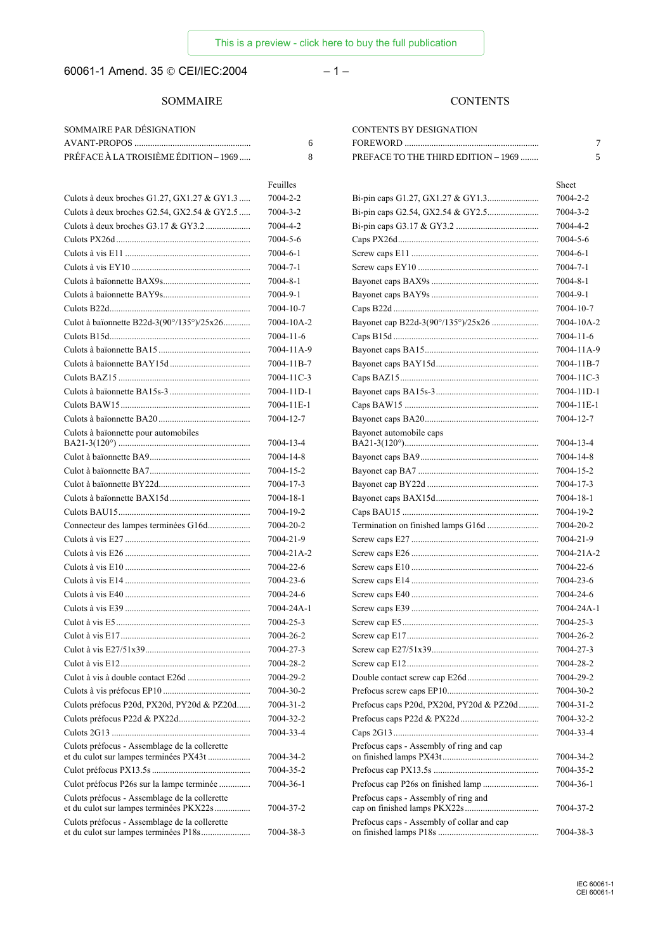#### 60061-1 Amend. 35 © CEI/IEC:2004 – 1 –

#### SOMMAIRE

| SOMMAIRE PAR DÉSIGNATION              |              |
|---------------------------------------|--------------|
| $AVANT-PROPOS$                        | 6.           |
| PRÉFACE À LA TROISIÈME ÉDITION – 1969 | <sup>Q</sup> |

|                                                                                         | Feuilles        |
|-----------------------------------------------------------------------------------------|-----------------|
| Culots à deux broches G1.27, GX1.27 & GY1.3                                             | 7004-2-2        |
| Culots à deux broches G2.54, GX2.54 & GY2.5                                             | 7004-3-2        |
|                                                                                         | 7004-4-2        |
|                                                                                         | 7004-5-6        |
|                                                                                         | 7004-6-1        |
|                                                                                         | 7004-7-1        |
|                                                                                         | 7004-8-1        |
|                                                                                         | 7004-9-1        |
|                                                                                         | 7004-10-7       |
| Culot à baïonnette B22d-3(90°/135°)/25x26                                               | 7004-10A-2      |
|                                                                                         | $7004 - 11 - 6$ |
|                                                                                         | 7004-11A-9      |
|                                                                                         | 7004-11B-7      |
|                                                                                         | 7004-11C-3      |
|                                                                                         | 7004-11D-1      |
|                                                                                         | 7004-11E-1      |
|                                                                                         | 7004-12-7       |
| Culots à baïonnette pour automobiles                                                    | 7004-13-4       |
|                                                                                         | 7004-14-8       |
|                                                                                         | 7004-15-2       |
|                                                                                         | 7004-17-3       |
|                                                                                         | 7004-18-1       |
|                                                                                         | 7004-19-2       |
|                                                                                         | 7004-20-2       |
|                                                                                         | 7004-21-9       |
|                                                                                         | 7004-21A-2      |
|                                                                                         | 7004-22-6       |
|                                                                                         | 7004-23-6       |
|                                                                                         | 7004-24-6       |
|                                                                                         | 7004-24A-1      |
|                                                                                         | 7004-25-3       |
|                                                                                         | 7004-26-2       |
|                                                                                         | 7004-27-3       |
|                                                                                         | 7004-28-2       |
|                                                                                         | 7004-29-2       |
|                                                                                         | 7004-30-2       |
| Culots préfocus P20d, PX20d, PY20d & PZ20d                                              | 7004-31-2       |
|                                                                                         | 7004-32-2       |
|                                                                                         | 7004-33-4       |
| Culots préfocus - Assemblage de la collerette<br>et du culot sur lampes terminées PX43t | 7004-34-2       |
|                                                                                         | 7004-35-2       |
| Culot préfocus P26s sur la lampe terminée                                               | 7004-36-1       |
| Culots préfocus - Assemblage de la collerette                                           |                 |
| et du culot sur lampes terminées PKX22s                                                 | 7004-37-2       |
| Culots préfocus - Assemblage de la collerette                                           | 7004-38-3       |
|                                                                                         |                 |

#### CONTENTS

#### CONTENTS BY DESIGNATION

| PREFACE TO THE THIRD EDITION - 1969 | 5              |
|-------------------------------------|----------------|
|                                     |                |
|                                     | Sheet          |
|                                     | $7004 - 2 - 2$ |
|                                     | $7004 - 3 - 2$ |
|                                     | 7004-4-2       |
|                                     | $7004 - 5 - 6$ |
|                                     | $7004 - 6 - 1$ |
|                                     | $7004 - 7 - 1$ |
|                                     | $7004 - 8 - 1$ |
| Ravonet cans RAV9s                  | 7004-9-1       |

|                                            | 7004-6-1       |
|--------------------------------------------|----------------|
|                                            | $7004 - 7 - 1$ |
|                                            | $7004 - 8 - 1$ |
|                                            | 7004-9-1       |
|                                            | 7004-10-7      |
| Bayonet cap B22d-3(90°/135°)/25x26         | 7004-10A-2     |
|                                            | 7004-11-6      |
|                                            | 7004-11A-9     |
|                                            | 7004-11B-7     |
|                                            | 7004-11C-3     |
|                                            | 7004-11D-1     |
|                                            | 7004-11E-1     |
|                                            | 7004-12-7      |
| Bayonet automobile caps                    | 7004-13-4      |
|                                            | 7004-14-8      |
|                                            | 7004-15-2      |
|                                            | 7004-17-3      |
|                                            | 7004-18-1      |
|                                            | 7004-19-2      |
| Termination on finished lamps G16d         | 7004-20-2      |
|                                            | 7004-21-9      |
|                                            | 7004-21A-2     |
|                                            | 7004-22-6      |
|                                            | 7004-23-6      |
|                                            | 7004-24-6      |
|                                            | 7004-24A-1     |
|                                            | 7004-25-3      |
|                                            | 7004-26-2      |
|                                            | 7004-27-3      |
|                                            | 7004-28-2      |
|                                            | 7004-29-2      |
|                                            | 7004-30-2      |
| Prefocus caps P20d, PX20d, PY20d & PZ20d   | 7004-31-2      |
|                                            | 7004-32-2      |
|                                            | 7004-33-4      |
| Prefocus caps - Assembly of ring and cap   | 7004-34-2      |
|                                            | 7004-35-2      |
| Prefocus cap P26s on finished lamp         | 7004-36-1      |
| Prefocus caps - Assembly of ring and       | 7004-37-2      |
| Prefocus caps - Assembly of collar and cap |                |
|                                            | 7004-38-3      |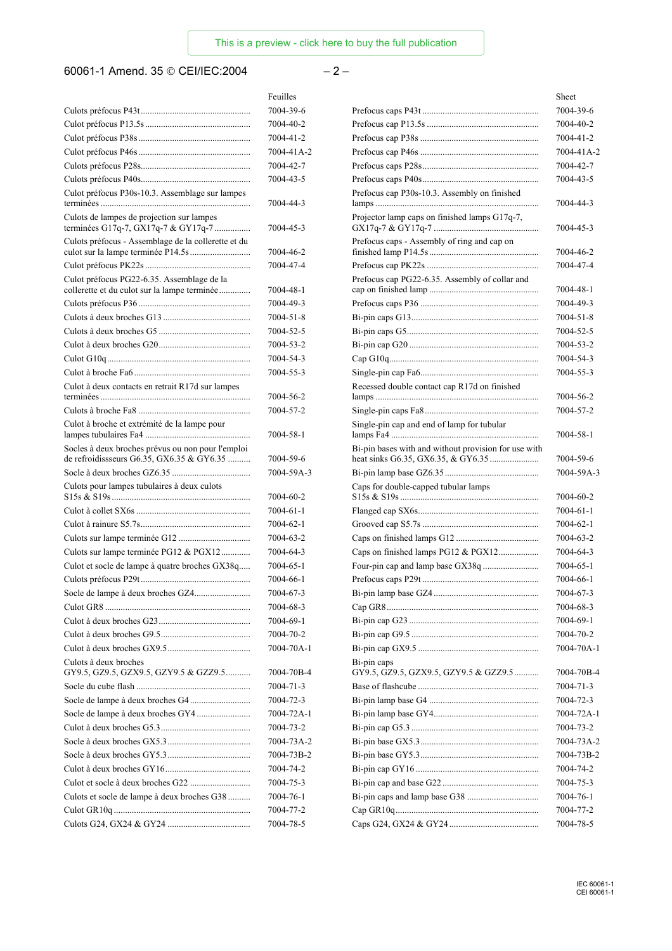#### 60061-1 Amend. 35 © CEI/IEC:2004 – 2 –

|                                                                                                | Feuilles   |
|------------------------------------------------------------------------------------------------|------------|
|                                                                                                | 7004-39-6  |
|                                                                                                | 7004-40-2  |
|                                                                                                | 7004-41-2  |
|                                                                                                | 7004-41A-2 |
|                                                                                                | 7004-42-7  |
|                                                                                                | 7004-43-5  |
| Culot préfocus P30s-10.3. Assemblage sur lampes                                                | 7004-44-3  |
| Culots de lampes de projection sur lampes<br>terminées G17q-7, GX17q-7 & GY17q-7               | 7004-45-3  |
| Culots préfocus - Assemblage de la collerette et du                                            | 7004-46-2  |
|                                                                                                | 7004-47-4  |
| Culot préfocus PG22-6.35. Assemblage de la<br>collerette et du culot sur la lampe terminée     | 7004-48-1  |
|                                                                                                | 7004-49-3  |
|                                                                                                | 7004-51-8  |
|                                                                                                | 7004-52-5  |
|                                                                                                | 7004-53-2  |
|                                                                                                | 7004-54-3  |
|                                                                                                | 7004-55-3  |
| Culot à deux contacts en retrait R17d sur lampes                                               |            |
|                                                                                                | 7004-56-2  |
|                                                                                                | 7004-57-2  |
| Culot à broche et extrémité de la lampe pour                                                   | 7004-58-1  |
| Socles à deux broches prévus ou non pour l'emploi<br>de refroidissseurs G6.35, GX6.35 & GY6.35 | 7004-59-6  |
|                                                                                                | 7004-59A-3 |
| Culots pour lampes tubulaires à deux culots                                                    | 7004-60-2  |
|                                                                                                | 7004-61-1  |
|                                                                                                | 7004-62-1  |
|                                                                                                | 7004-63-2  |
| Culots sur lampe terminée PG12 & PGX12                                                         | 7004-64-3  |
| Culot et socle de lampe à quatre broches GX38q                                                 | 7004-65-1  |
|                                                                                                | 7004-66-1  |
| Socle de lampe à deux broches GZ4                                                              | 7004-67-3  |
|                                                                                                | 7004-68-3  |
|                                                                                                | 7004-69-1  |
|                                                                                                | 7004-70-2  |
|                                                                                                | 7004-70A-1 |
| Culots à deux broches<br>GY9.5, GZ9.5, GZX9.5, GZY9.5 & GZZ9.5                                 | 7004-70B-4 |
|                                                                                                | 7004-71-3  |
|                                                                                                | 7004-72-3  |
|                                                                                                | 7004-72A-1 |
|                                                                                                | 7004-73-2  |
|                                                                                                | 7004-73A-2 |
|                                                                                                | 7004-73B-2 |
|                                                                                                | 7004-74-2  |
|                                                                                                | 7004-75-3  |
| Culots et socle de lampe à deux broches G38                                                    | 7004-76-1  |
|                                                                                                | 7004-77-2  |
|                                                                                                | 7004-78-5  |
|                                                                                                |            |

|                                                      | Sheet                  |
|------------------------------------------------------|------------------------|
|                                                      | 7004-39-6              |
|                                                      | 7004-40-2              |
|                                                      | 7004-41-2              |
|                                                      | 7004-41A-2             |
|                                                      | 7004-42-7              |
|                                                      | 7004-43-5              |
| Prefocus cap P30s-10.3. Assembly on finished         | 7004-44-3              |
| Projector lamp caps on finished lamps G17q-7,        | 7004-45-3              |
| Prefocus caps - Assembly of ring and cap on          | 7004-46-2              |
|                                                      | 7004-47-4              |
| Prefocus cap PG22-6.35. Assembly of collar and       |                        |
|                                                      | 7004-48-1<br>7004-49-3 |
|                                                      |                        |
|                                                      | 7004-51-8              |
|                                                      | 7004-52-5              |
|                                                      | 7004-53-2              |
|                                                      | 7004-54-3              |
|                                                      | 7004-55-3              |
| Recessed double contact cap R17d on finished         | 7004-56-2              |
|                                                      | 7004-57-2              |
| Single-pin cap and end of lamp for tubular           | 7004-58-1              |
| Bi-pin bases with and without provision for use with |                        |
|                                                      | 7004-59-6              |
|                                                      | 7004-59A-3             |
| Caps for double-capped tubular lamps                 | 7004-60-2              |
|                                                      | 7004-61-1              |
|                                                      | 7004-62-1              |
|                                                      | 7004-63-2              |
| Caps on finished lamps PG12 & PGX12                  | 7004-64-3              |
|                                                      | 7004-65-1              |
|                                                      | 7004-66-1              |
|                                                      | 7004-67-3              |
|                                                      | 7004-68-3              |
|                                                      | 7004-69-1              |
|                                                      | 7004-70-2              |
|                                                      | 7004-70A-1             |
| Bi-pin caps<br>GY9.5, GZ9.5, GZX9.5, GZY9.5 & GZZ9.5 | 7004-70B-4             |
|                                                      | 7004-71-3              |
|                                                      | 7004-72-3              |
|                                                      | 7004-72A-1             |
|                                                      | 7004-73-2              |
|                                                      | 7004-73A-2             |
|                                                      | 7004-73B-2             |
|                                                      | 7004-74-2              |
|                                                      | 7004-75-3              |
|                                                      | 7004-76-1              |
|                                                      | 7004-77-2              |
|                                                      | 7004-78-5              |
|                                                      |                        |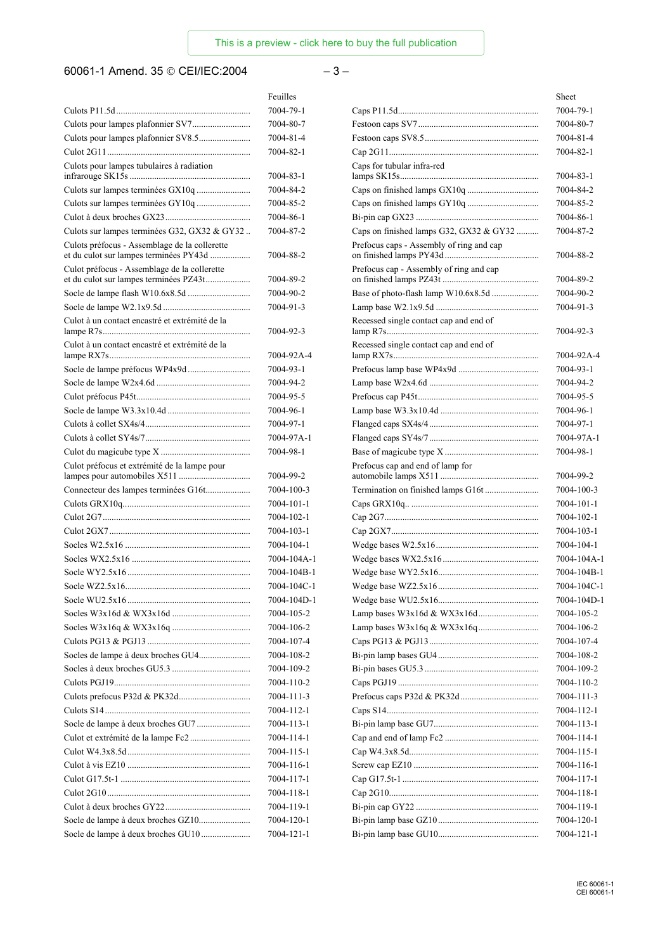#### 60061-1 Amend. 35 © CEI/IEC:2004 – 3 –

|                                                                                         | Feuilles    |
|-----------------------------------------------------------------------------------------|-------------|
|                                                                                         | 7004-79-1   |
| Culots pour lampes plafonnier SV7                                                       | 7004-80-7   |
| Culots pour lampes plafonnier SV8.5                                                     | 7004-81-4   |
|                                                                                         | 7004-82-1   |
| Culots pour lampes tubulaires à radiation                                               | 7004-83-1   |
| Culots sur lampes terminées GX10q                                                       | 7004-84-2   |
|                                                                                         | 7004-85-2   |
|                                                                                         | 7004-86-1   |
| Culots sur lampes terminées G32, GX32 & GY32                                            | 7004-87-2   |
| Culots préfocus - Assemblage de la collerette<br>et du culot sur lampes terminées PY43d | 7004-88-2   |
| Culot préfocus - Assemblage de la collerette<br>et du culot sur lampes terminées PZ43t  | 7004-89-2   |
|                                                                                         | 7004-90-2   |
|                                                                                         | 7004-91-3   |
| Culot à un contact encastré et extrémité de la                                          | 7004-92-3   |
| Culot à un contact encastré et extrémité de la                                          |             |
|                                                                                         | 7004-92A-4  |
|                                                                                         | 7004-93-1   |
|                                                                                         | 7004-94-2   |
|                                                                                         | 7004-95-5   |
|                                                                                         | 7004-96-1   |
|                                                                                         | 7004-97-1   |
|                                                                                         | 7004-97A-1  |
|                                                                                         | 7004-98-1   |
| Culot préfocus et extrémité de la lampe pour                                            |             |
|                                                                                         | 7004-99-2   |
| Connecteur des lampes terminées G16t                                                    | 7004-100-3  |
|                                                                                         | 7004-101-1  |
|                                                                                         | 7004-102-1  |
|                                                                                         | 7004-103-1  |
|                                                                                         | 7004-104-1  |
|                                                                                         | 7004-104A-1 |
|                                                                                         | 7004-104B-1 |
|                                                                                         | 7004-104C-1 |
| Socle WU2 5x16                                                                          | 7004-104D-1 |
|                                                                                         | 7004-105-2  |
|                                                                                         | 7004-106-2  |
|                                                                                         | 7004-107-4  |
| Socles de lampe à deux broches GU4                                                      | 7004-108-2  |
|                                                                                         | 7004-109-2  |
|                                                                                         | 7004-110-2  |
|                                                                                         | 7004-111-3  |
|                                                                                         | 7004-112-1  |
|                                                                                         | 7004-113-1  |
|                                                                                         | 7004-114-1  |
|                                                                                         | 7004-115-1  |
|                                                                                         | 7004-116-1  |
|                                                                                         | 7004-117-1  |
|                                                                                         | 7004-118-1  |
|                                                                                         | 7004-119-1  |
| Socle de lampe à deux broches GZ10                                                      | 7004-120-1  |
|                                                                                         | 7004-121-1  |
|                                                                                         |             |

|                                          | Sheet       |
|------------------------------------------|-------------|
|                                          | 7004-79-1   |
|                                          | 7004-80-7   |
|                                          | 7004-81-4   |
|                                          | 7004-82-1   |
| Caps for tubular infra-red               | 7004-83-1   |
|                                          | 7004-84-2   |
|                                          | 7004-85-2   |
|                                          | 7004-86-1   |
| Caps on finished lamps G32, GX32 & GY32  | 7004-87-2   |
| Prefocus caps - Assembly of ring and cap | 7004-88-2   |
| Prefocus cap - Assembly of ring and cap  |             |
|                                          | 7004-89-2   |
| Base of photo-flash lamp W10.6x8.5d      | 7004-90-2   |
|                                          | 7004-91-3   |
| Recessed single contact cap and end of   | 7004-92-3   |
| Recessed single contact cap and end of   |             |
|                                          | 7004-92A-4  |
|                                          | 7004-93-1   |
|                                          | 7004-94-2   |
|                                          | 7004-95-5   |
|                                          | 7004-96-1   |
|                                          | 7004-97-1   |
|                                          | 7004-97A-1  |
|                                          | 7004-98-1   |
| Prefocus cap and end of lamp for         | 7004-99-2   |
| Termination on finished lamps G16t       | 7004-100-3  |
|                                          | 7004-101-1  |
|                                          | 7004-102-1  |
|                                          | 7004-103-1  |
|                                          | 7004-104-1  |
|                                          | 7004-104A-1 |
|                                          | 7004-104B-1 |
|                                          | 7004-104C-1 |
|                                          | 7004-104D-1 |
|                                          | 7004-105-2  |
|                                          | 7004-106-2  |
|                                          |             |
|                                          | 7004-107-4  |
|                                          | 7004-108-2  |
|                                          | 7004-109-2  |
|                                          | 7004-110-2  |
|                                          | 7004-111-3  |
|                                          | 7004-112-1  |
|                                          | 7004-113-1  |
|                                          | 7004-114-1  |
|                                          | 7004-115-1  |
|                                          | 7004-116-1  |
|                                          | 7004-117-1  |
|                                          | 7004-118-1  |
|                                          | 7004-119-1  |
|                                          | 7004-120-1  |
|                                          | 7004-121-1  |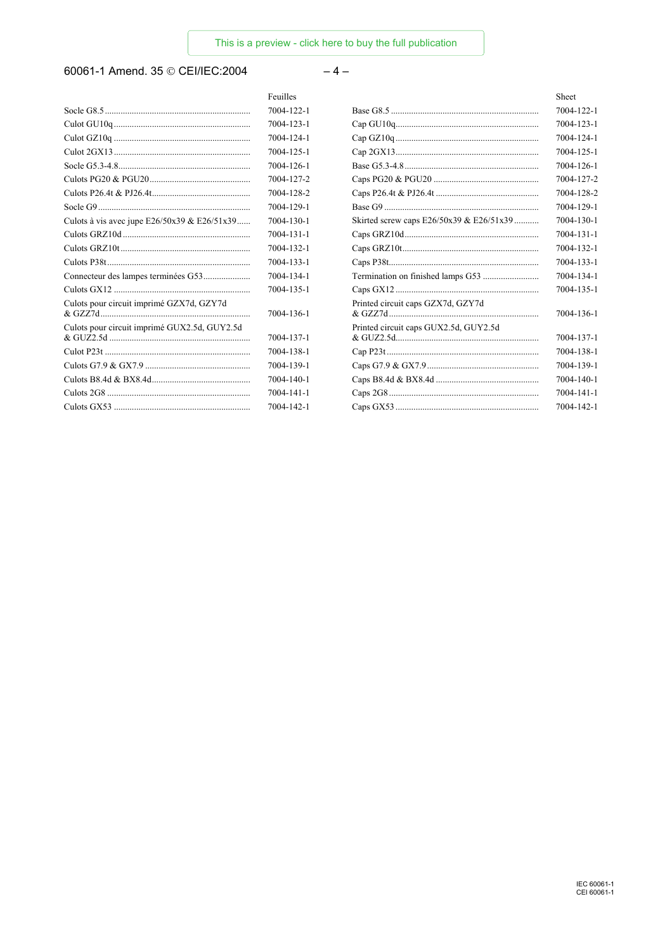#### 60061-1 Amend. 35 © CEI/IEC:2004

#### $-4-$

|                                              | Feuilles         |                                          |
|----------------------------------------------|------------------|------------------------------------------|
|                                              | 7004-122-1       |                                          |
|                                              | 7004-123-1       |                                          |
|                                              | 7004-124-1       |                                          |
|                                              | 7004-125-1       |                                          |
|                                              | 7004-126-1       |                                          |
|                                              | 7004-127-2       |                                          |
|                                              | 7004-128-2       |                                          |
|                                              | 7004-129-1       |                                          |
| Culots à vis avec jupe E26/50x39 & E26/51x39 | 7004-130-1       | Skirted screw caps E26/50x39 & E26/51x39 |
|                                              | 7004-131-1       |                                          |
|                                              | 7004-132-1       |                                          |
|                                              | 7004-133-1       |                                          |
|                                              | 7004-134-1       |                                          |
|                                              | 7004-135-1       |                                          |
| Culots pour circuit imprimé GZX7d, GZY7d     | 7004-136-1       | Printed circuit caps GZX7d, GZY7d        |
| Culots pour circuit imprimé GUX2.5d, GUY2.5d | 7004-137-1       | Printed circuit caps GUX2.5d, GUY2.5d    |
|                                              | 7004-138-1       |                                          |
|                                              | 7004-139-1       |                                          |
|                                              | 7004-140-1       |                                          |
|                                              | $7004 - 141 - 1$ |                                          |
|                                              | 7004-142-1       |                                          |

Sheet 7004-122-1 7004-123-1 7004-124-1 7004-125-1 7004-126-1 7004-127-2 7004-128-2 7004-129-1 7004-130-1  $7004 - 131 - 1$ 7004-132-1 7004-133-1 7004-134-1 7004-135-1

7004-136-1

 $7004 - 137 - 1$ 7004-138-1 7004-139-1 7004-140-1  $7004 - 141 - 1$ 7004-142-1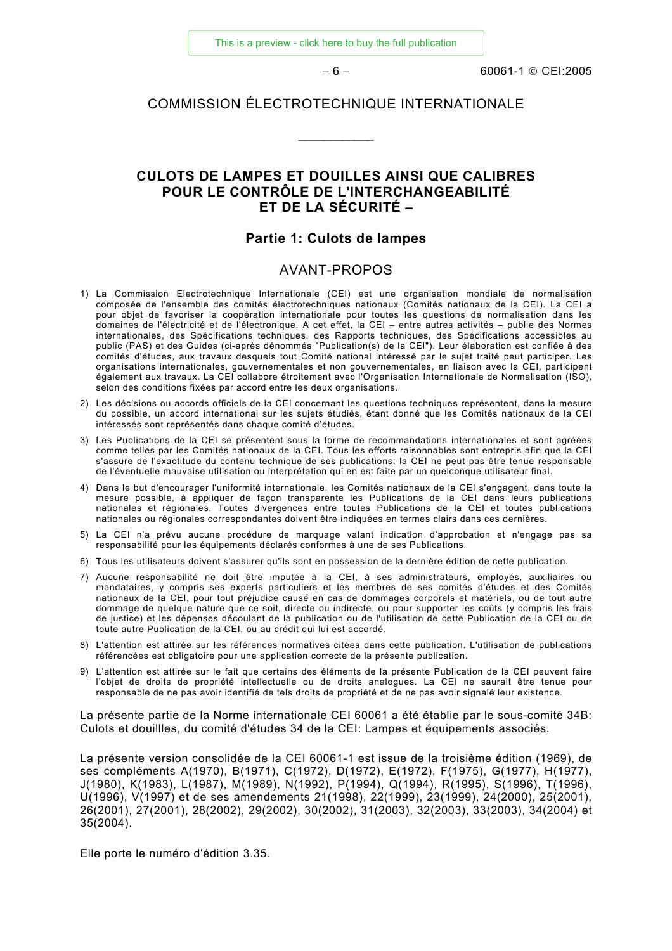[This is a preview - click here to buy the full publication](https://webstore.iec.ch/publication/336&preview=1)

#### COMMISSION ÉLECTROTECHNIQUE INTERNATIONALE

 $\overline{\phantom{a}}$ 

### **CULOTS DE LAMPES ET DOUILLES AINSI QUE CALIBRES POUR LE CONTRÔLE DE L'INTERCHANGEABILITÉ ET DE LA SÉCURITÉ –**

#### **Partie 1: Culots de lampes**

#### AVANT-PROPOS

- 1) La Commission Electrotechnique Internationale (CEI) est une organisation mondiale de normalisation composée de l'ensemble des comités électrotechniques nationaux (Comités nationaux de la CEI). La CEI a pour objet de favoriser la coopération internationale pour toutes les questions de normalisation dans les domaines de l'électricité et de l'électronique. A cet effet, la CEI – entre autres activités – publie des Normes internationales, des Spécifications techniques, des Rapports techniques, des Spécifications accessibles au public (PAS) et des Guides (ci-après dénommés "Publication(s) de la CEI"). Leur élaboration est confiée à des comités d'études, aux travaux desquels tout Comité national intéressé par le sujet traité peut participer. Les organisations internationales, gouvernementales et non gouvernementales, en liaison avec la CEI, participent également aux travaux. La CEI collabore étroitement avec l'Organisation Internationale de Normalisation (ISO), selon des conditions fixées par accord entre les deux organisations.
- 2) Les décisions ou accords officiels de la CEI concernant les questions techniques représentent, dans la mesure du possible, un accord international sur les sujets étudiés, étant donné que les Comités nationaux de la CEI intéressés sont représentés dans chaque comité d'études.
- 3) Les Publications de la CEI se présentent sous la forme de recommandations internationales et sont agréées comme telles par les Comités nationaux de la CEI. Tous les efforts raisonnables sont entrepris afin que la CEI s'assure de l'exactitude du contenu technique de ses publications; la CEI ne peut pas être tenue responsable de l'éventuelle mauvaise utilisation ou interprétation qui en est faite par un quelconque utilisateur final.
- 4) Dans le but d'encourager l'uniformité internationale, les Comités nationaux de la CEI s'engagent, dans toute la mesure possible, à appliquer de façon transparente les Publications de la CEI dans leurs publications nationales et régionales. Toutes divergences entre toutes Publications de la CEI et toutes publications nationales ou régionales correspondantes doivent être indiquées en termes clairs dans ces dernières.
- 5) La CEI n'a prévu aucune procédure de marquage valant indication d'approbation et n'engage pas sa responsabilité pour les équipements déclarés conformes à une de ses Publications.
- 6) Tous les utilisateurs doivent s'assurer qu'ils sont en possession de la dernière édition de cette publication.
- 7) Aucune responsabilité ne doit être imputée à la CEI, à ses administrateurs, employés, auxiliaires ou mandataires, y compris ses experts particuliers et les membres de ses comités d'études et des Comités nationaux de la CEI, pour tout préjudice causé en cas de dommages corporels et matériels, ou de tout autre dommage de quelque nature que ce soit, directe ou indirecte, ou pour supporter les coûts (y compris les frais de justice) et les dépenses découlant de la publication ou de l'utilisation de cette Publication de la CEI ou de toute autre Publication de la CEI, ou au crédit qui lui est accordé.
- 8) L'attention est attirée sur les références normatives citées dans cette publication. L'utilisation de publications référencées est obligatoire pour une application correcte de la présente publication.
- 9) L'attention est attirée sur le fait que certains des éléments de la présente Publication de la CEI peuvent faire l'objet de droits de propriété intellectuelle ou de droits analogues. La CEI ne saurait être tenue pour responsable de ne pas avoir identifié de tels droits de propriété et de ne pas avoir signalé leur existence.

La présente partie de la Norme internationale CEI 60061 a été établie par le sous-comité 34B: Culots et douillles, du comité d'études 34 de la CEI: Lampes et équipements associés.

La présente version consolidée de la CEI 60061-1 est issue de la troisième édition (1969), de ses compléments A(1970), B(1971), C(1972), D(1972), E(1972), F(1975), G(1977), H(1977), J(1980), K(1983), L(1987), M(1989), N(1992), P(1994), Q(1994), R(1995), S(1996), T(1996), U(1996), V(1997) et de ses amendements 21(1998), 22(1999), 23(1999), 24(2000), 25(2001), 26(2001), 27(2001), 28(2002), 29(2002), 30(2002), 31(2003), 32(2003), 33(2003), 34(2004) et 35(2004).

Elle porte le numéro d'édition 3.35.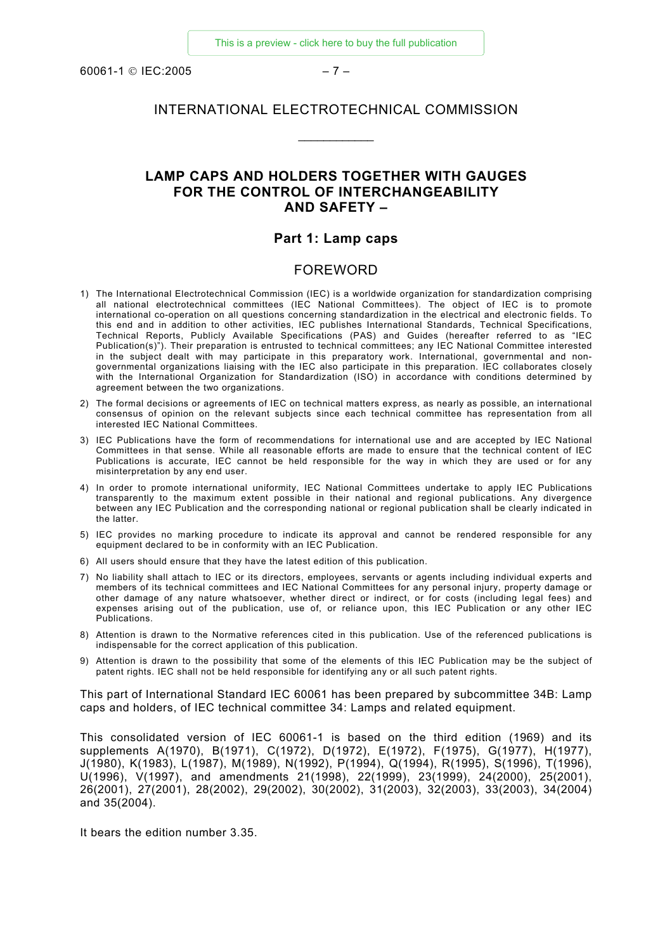60061-1 © IEC:2005 – 7 –

#### INTERNATIONAL ELECTROTECHNICAL COMMISSION

 $\overline{\phantom{a}}$ 

### **LAMP CAPS AND HOLDERS TOGETHER WITH GAUGES FOR THE CONTROL OF INTERCHANGEABILITY AND SAFETY –**

#### **Part 1: Lamp caps**

#### FOREWORD

- 1) The International Electrotechnical Commission (IEC) is a worldwide organization for standardization comprising all national electrotechnical committees (IEC National Committees). The object of IEC is to promote international co-operation on all questions concerning standardization in the electrical and electronic fields. To this end and in addition to other activities, IEC publishes International Standards, Technical Specifications, Technical Reports, Publicly Available Specifications (PAS) and Guides (hereafter referred to as "IEC Publication(s)"). Their preparation is entrusted to technical committees; any IEC National Committee interested in the subject dealt with may participate in this preparatory work. International, governmental and nongovernmental organizations liaising with the IEC also participate in this preparation. IEC collaborates closely with the International Organization for Standardization (ISO) in accordance with conditions determined by agreement between the two organizations.
- 2) The formal decisions or agreements of IEC on technical matters express, as nearly as possible, an international consensus of opinion on the relevant subjects since each technical committee has representation from all interested IEC National Committees.
- 3) IEC Publications have the form of recommendations for international use and are accepted by IEC National Committees in that sense. While all reasonable efforts are made to ensure that the technical content of IEC Publications is accurate, IEC cannot be held responsible for the way in which they are used or for any misinterpretation by any end user.
- 4) In order to promote international uniformity, IEC National Committees undertake to apply IEC Publications transparently to the maximum extent possible in their national and regional publications. Any divergence between any IEC Publication and the corresponding national or regional publication shall be clearly indicated in the latter.
- 5) IEC provides no marking procedure to indicate its approval and cannot be rendered responsible for any equipment declared to be in conformity with an IEC Publication.
- 6) All users should ensure that they have the latest edition of this publication.
- 7) No liability shall attach to IEC or its directors, employees, servants or agents including individual experts and members of its technical committees and IEC National Committees for any personal injury, property damage or other damage of any nature whatsoever, whether direct or indirect, or for costs (including legal fees) and expenses arising out of the publication, use of, or reliance upon, this IEC Publication or any other IEC Publications.
- 8) Attention is drawn to the Normative references cited in this publication. Use of the referenced publications is indispensable for the correct application of this publication.
- 9) Attention is drawn to the possibility that some of the elements of this IEC Publication may be the subject of patent rights. IEC shall not be held responsible for identifying any or all such patent rights.

This part of International Standard IEC 60061 has been prepared by subcommittee 34B: Lamp caps and holders, of IEC technical committee 34: Lamps and related equipment.

This consolidated version of IEC 60061-1 is based on the third edition (1969) and its supplements A(1970), B(1971), C(1972), D(1972), E(1972), F(1975), G(1977), H(1977), J(1980), K(1983), L(1987), M(1989), N(1992), P(1994), Q(1994), R(1995), S(1996), T(1996), U(1996), V(1997), and amendments 21(1998), 22(1999), 23(1999), 24(2000), 25(2001), 26(2001), 27(2001), 28(2002), 29(2002), 30(2002), 31(2003), 32(2003), 33(2003), 34(2004) and 35(2004).

It bears the edition number 3.35.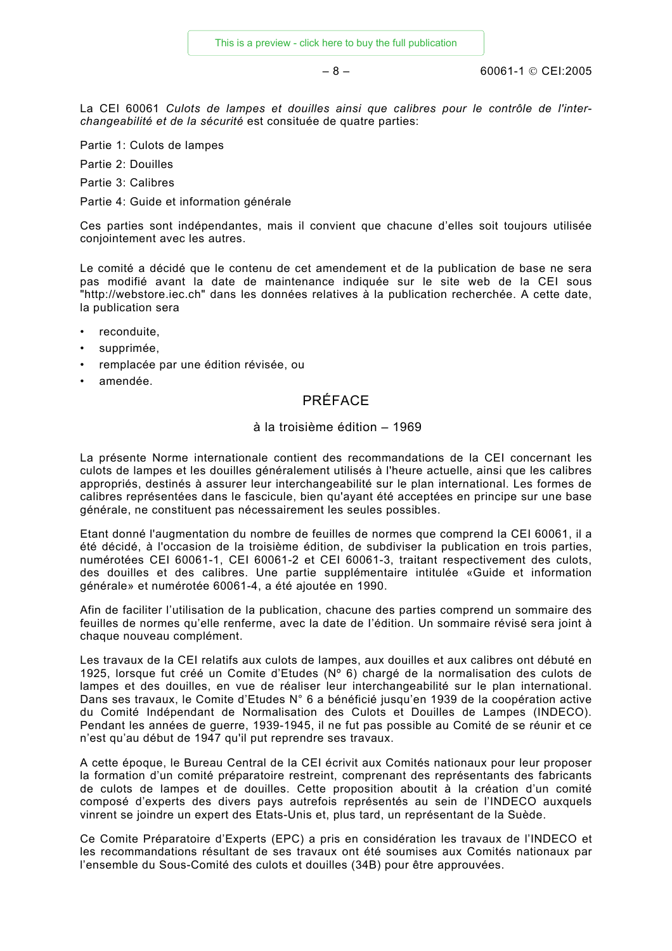$-8 - 8 - 60061 - 1 \odot CF12005$ 

La CEI 60061 *Culots de lampes et douilles ainsi que calibres pour le contrôle de l'interchangeabilité et de la sécurité* est consituée de quatre parties:

Partie 1: Culots de lampes

Partie 2: Douilles

Partie 3: Calibres

Partie 4: Guide et information générale

Ces parties sont indépendantes, mais il convient que chacune d'elles soit toujours utilisée conjointement avec les autres.

Le comité a décidé que le contenu de cet amendement et de la publication de base ne sera pas modifié avant la date de maintenance indiquée sur le site web de la CEI sous "http://webstore.iec.ch" dans les données relatives à la publication recherchée. A cette date, la publication sera

- reconduite,
- supprimée,
- remplacée par une édition révisée, ou
- amendée.

## PRÉFACE

#### à la troisième édition – 1969

La présente Norme internationale contient des recommandations de la CEI concernant les culots de lampes et les douilles généralement utilisés à l'heure actuelle, ainsi que les calibres appropriés, destinés à assurer leur interchangeabilité sur le plan international. Les formes de calibres représentées dans le fascicule, bien qu'ayant été acceptées en principe sur une base générale, ne constituent pas nécessairement les seules possibles.

Etant donné l'augmentation du nombre de feuilles de normes que comprend la CEI 60061, il a été décidé, à l'occasion de la troisième édition, de subdiviser la publication en trois parties, numérotées CEI 60061-1, CEI 60061-2 et CEI 60061-3, traitant respectivement des culots, des douilles et des calibres. Une partie supplémentaire intitulée «Guide et information générale» et numérotée 60061-4, a été ajoutée en 1990.

Afin de faciliter l'utilisation de la publication, chacune des parties comprend un sommaire des feuilles de normes qu'elle renferme, avec la date de I'édition. Un sommaire révisé sera joint à chaque nouveau complément.

Les travaux de la CEI relatifs aux culots de lampes, aux douilles et aux calibres ont débuté en 1925, lorsque fut créé un Comite d'Etudes ( $N^{\circ}$  6) chargé de la normalisation des culots de lampes et des douilles, en vue de réaliser leur interchangeabilité sur le plan international. Dans ses travaux, le Comite d'Etudes N° 6 a bénéficié jusqu'en 1939 de la coopération active du Comité Indépendant de Normalisation des Culots et Douilles de Lampes (INDECO). Pendant les années de guerre, 1939-1945, il ne fut pas possible au Comité de se réunir et ce n'est qu'au début de 1947 qu'il put reprendre ses travaux.

A cette époque, le Bureau Central de la CEI écrivit aux Comités nationaux pour leur proposer la formation d'un comité préparatoire restreint, comprenant des représentants des fabricants de culots de lampes et de douilles. Cette proposition aboutit à la création d'un comité composé d'experts des divers pays autrefois représentés au sein de l'INDECO auxquels vinrent se joindre un expert des Etats-Unis et, plus tard, un représentant de la Suède.

Ce Comite Préparatoire d'Experts (EPC) a pris en considération les travaux de l'INDECO et les recommandations résultant de ses travaux ont été soumises aux Comités nationaux par l'ensemble du Sous-Comité des culots et douilles (34B) pour être approuvées.